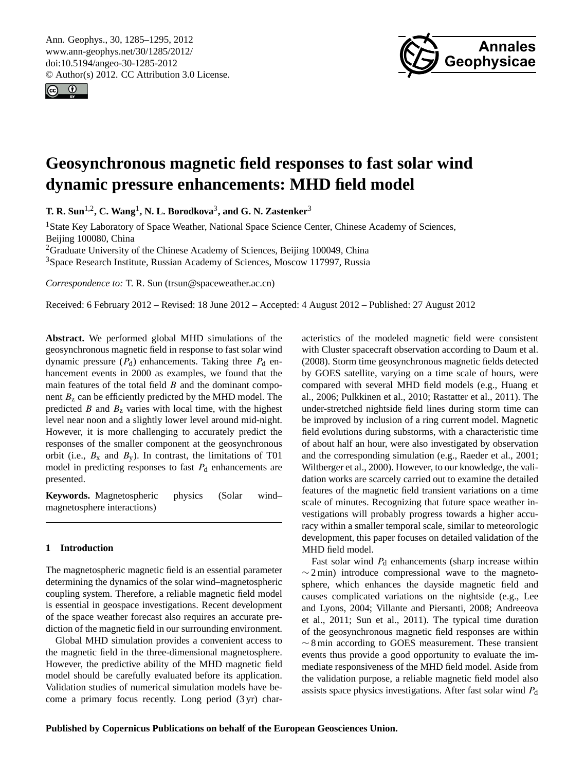<span id="page-0-0"></span>Ann. Geophys., 30, 1285–1295, 2012 www.ann-geophys.net/30/1285/2012/ doi:10.5194/angeo-30-1285-2012 © Author(s) 2012. CC Attribution 3.0 License.





# **Geosynchronous magnetic field responses to fast solar wind dynamic pressure enhancements: MHD field model**

**T. R. Sun**1,2**, C. Wang**<sup>1</sup> **, N. L. Borodkova**<sup>3</sup> **, and G. N. Zastenker**<sup>3</sup>

<sup>1</sup> State Key Laboratory of Space Weather, National Space Science Center, Chinese Academy of Sciences, Beijing 100080, China

<sup>2</sup>Graduate University of the Chinese Academy of Sciences, Beijing 100049, China <sup>3</sup>Space Research Institute, Russian Academy of Sciences, Moscow 117997, Russia

*Correspondence to:* T. R. Sun (trsun@spaceweather.ac.cn)

Received: 6 February 2012 – Revised: 18 June 2012 – Accepted: 4 August 2012 – Published: 27 August 2012

**Abstract.** We performed global MHD simulations of the geosynchronous magnetic field in response to fast solar wind dynamic pressure  $(P_d)$  enhancements. Taking three  $P_d$  enhancement events in 2000 as examples, we found that the main features of the total field  $B$  and the dominant component  $B<sub>z</sub>$  can be efficiently predicted by the MHD model. The predicted  $B$  and  $B<sub>z</sub>$  varies with local time, with the highest level near noon and a slightly lower level around mid-night. However, it is more challenging to accurately predict the responses of the smaller component at the geosynchronous orbit (i.e.,  $B_x$  and  $B_y$ ). In contrast, the limitations of T01 model in predicting responses to fast  $P_d$  enhancements are presented.

**Keywords.** Magnetospheric physics (Solar wind– magnetosphere interactions)

### **1 Introduction**

The magnetospheric magnetic field is an essential parameter determining the dynamics of the solar wind–magnetospheric coupling system. Therefore, a reliable magnetic field model is essential in geospace investigations. Recent development of the space weather forecast also requires an accurate prediction of the magnetic field in our surrounding environment.

Global MHD simulation provides a convenient access to the magnetic field in the three-dimensional magnetosphere. However, the predictive ability of the MHD magnetic field model should be carefully evaluated before its application. Validation studies of numerical simulation models have become a primary focus recently. Long period (3 yr) characteristics of the modeled magnetic field were consistent with Cluster spacecraft observation according to [Daum et al.](#page-9-0) [\(2008\)](#page-9-0). Storm time geosynchronous magnetic fields detected by GOES satellite, varying on a time scale of hours, were compared with several MHD field models (e.g., [Huang et](#page-9-1) [al.,](#page-9-1) [2006;](#page-9-1) [Pulkkinen et al.,](#page-9-2) [2010;](#page-9-2) [Rastatter et al.,](#page-9-3) [2011\)](#page-9-3). The under-stretched nightside field lines during storm time can be improved by inclusion of a ring current model. Magnetic field evolutions during substorms, with a characteristic time of about half an hour, were also investigated by observation and the corresponding simulation (e.g., [Raeder et al.,](#page-9-4) [2001;](#page-9-4) [Wiltberger et al.,](#page-10-0) [2000\)](#page-10-0). However, to our knowledge, the validation works are scarcely carried out to examine the detailed features of the magnetic field transient variations on a time scale of minutes. Recognizing that future space weather investigations will probably progress towards a higher accuracy within a smaller temporal scale, similar to meteorologic development, this paper focuses on detailed validation of the MHD field model.

Fast solar wind  $P_d$  enhancements (sharp increase within  $\sim$  2 min) introduce compressional wave to the magnetosphere, which enhances the dayside magnetic field and causes complicated variations on the nightside (e.g., [Lee](#page-9-5) [and Lyons,](#page-9-5) [2004;](#page-9-5) [Villante and Piersanti,](#page-10-1) [2008;](#page-10-1) [Andreeova](#page-9-6) [et al.,](#page-9-6) [2011;](#page-9-6) [Sun et al.,](#page-10-2) [2011\)](#page-10-2). The typical time duration of the geosynchronous magnetic field responses are within ∼ 8 min according to GOES measurement. These transient events thus provide a good opportunity to evaluate the immediate responsiveness of the MHD field model. Aside from the validation purpose, a reliable magnetic field model also assists space physics investigations. After fast solar wind  $P_d$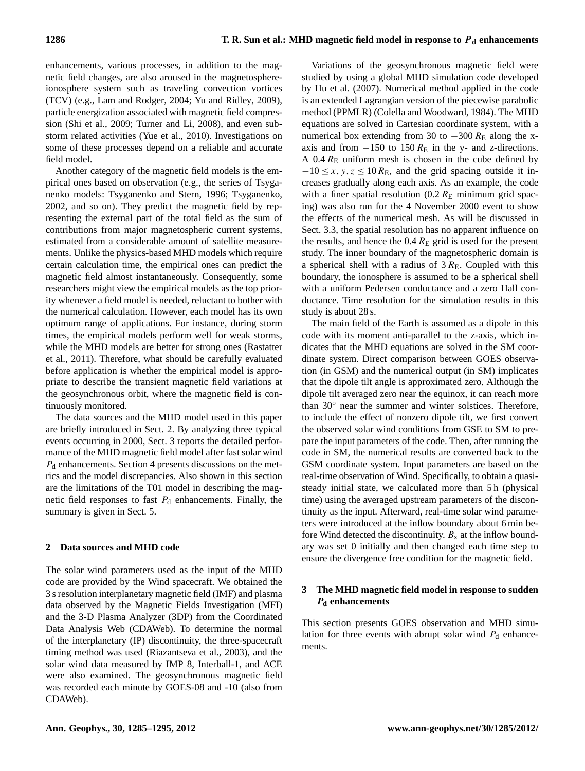enhancements, various processes, in addition to the magnetic field changes, are also aroused in the magnetosphereionosphere system such as traveling convection vortices (TCV) (e.g., [Lam and Rodger,](#page-9-7) [2004;](#page-9-7) [Yu and Ridley,](#page-10-3) [2009\)](#page-10-3), particle energization associated with magnetic field compression [\(Shi et al.,](#page-9-8) [2009;](#page-9-8) [Turner and Li,](#page-10-4) [2008\)](#page-10-4), and even substorm related activities [\(Yue et al.,](#page-10-5) [2010\)](#page-10-5). Investigations on some of these processes depend on a reliable and accurate field model.

Another category of the magnetic field models is the empirical ones based on observation (e.g., the series of Tsyganenko models: [Tsyganenko and Stern,](#page-10-6) [1996;](#page-10-6) [Tsyganenko,](#page-10-7) [2002,](#page-10-7) and so on). They predict the magnetic field by representing the external part of the total field as the sum of contributions from major magnetospheric current systems, estimated from a considerable amount of satellite measurements. Unlike the physics-based MHD models which require certain calculation time, the empirical ones can predict the magnetic field almost instantaneously. Consequently, some researchers might view the empirical models as the top priority whenever a field model is needed, reluctant to bother with the numerical calculation. However, each model has its own optimum range of applications. For instance, during storm times, the empirical models perform well for weak storms, while the MHD models are better for strong ones [\(Rastatter](#page-9-3) [et al.,](#page-9-3) [2011\)](#page-9-3). Therefore, what should be carefully evaluated before application is whether the empirical model is appropriate to describe the transient magnetic field variations at the geosynchronous orbit, where the magnetic field is continuously monitored.

The data sources and the MHD model used in this paper are briefly introduced in Sect. 2. By analyzing three typical events occurring in 2000, Sect. 3 reports the detailed performance of the MHD magnetic field model after fast solar wind  $P_d$  enhancements. Section 4 presents discussions on the metrics and the model discrepancies. Also shown in this section are the limitations of the T01 model in describing the magnetic field responses to fast  $P_d$  enhancements. Finally, the summary is given in Sect. 5.

## **2 Data sources and MHD code**

The solar wind parameters used as the input of the MHD code are provided by the Wind spacecraft. We obtained the 3 s resolution interplanetary magnetic field (IMF) and plasma data observed by the Magnetic Fields Investigation (MFI) and the 3-D Plasma Analyzer (3DP) from the Coordinated Data Analysis Web (CDAWeb). To determine the normal of the interplanetary (IP) discontinuity, the three-spacecraft timing method was used [\(Riazantseva et al.,](#page-9-9) [2003\)](#page-9-9), and the solar wind data measured by IMP 8, Interball-1, and ACE were also examined. The geosynchronous magnetic field was recorded each minute by GOES-08 and -10 (also from CDAWeb).

Variations of the geosynchronous magnetic field were studied by using a global MHD simulation code developed by [Hu et al.](#page-9-10) [\(2007\)](#page-9-10). Numerical method applied in the code is an extended Lagrangian version of the piecewise parabolic method (PPMLR) [\(Colella and Woodward,](#page-9-11) [1984\)](#page-9-11). The MHD equations are solved in Cartesian coordinate system, with a numerical box extending from 30 to  $-300 R_{\rm E}$  along the xaxis and from  $-150$  to 150  $R<sub>E</sub>$  in the y- and z-directions. A  $0.4 R$ <sub>E</sub> uniform mesh is chosen in the cube defined by  $-10 \le x, y, z \le 10 R_{\rm E}$ , and the grid spacing outside it increases gradually along each axis. As an example, the code with a finer spatial resolution  $(0.2 R<sub>E</sub>$  minimum grid spacing) was also run for the 4 November 2000 event to show the effects of the numerical mesh. As will be discussed in Sect. 3.3, the spatial resolution has no apparent influence on the results, and hence the  $0.4 R<sub>E</sub>$  grid is used for the present study. The inner boundary of the magnetospheric domain is a spherical shell with a radius of  $3 R_{\rm E}$ . Coupled with this boundary, the ionosphere is assumed to be a spherical shell with a uniform Pedersen conductance and a zero Hall conductance. Time resolution for the simulation results in this study is about 28 s.

The main field of the Earth is assumed as a dipole in this code with its moment anti-parallel to the z-axis, which indicates that the MHD equations are solved in the SM coordinate system. Direct comparison between GOES observation (in GSM) and the numerical output (in SM) implicates that the dipole tilt angle is approximated zero. Although the dipole tilt averaged zero near the equinox, it can reach more than 30◦ near the summer and winter solstices. Therefore, to include the effect of nonzero dipole tilt, we first convert the observed solar wind conditions from GSE to SM to prepare the input parameters of the code. Then, after running the code in SM, the numerical results are converted back to the GSM coordinate system. Input parameters are based on the real-time observation of Wind. Specifically, to obtain a quasisteady initial state, we calculated more than 5 h (physical time) using the averaged upstream parameters of the discontinuity as the input. Afterward, real-time solar wind parameters were introduced at the inflow boundary about 6 min before Wind detected the discontinuity.  $B_x$  at the inflow boundary was set 0 initially and then changed each time step to ensure the divergence free condition for the magnetic field.

## **3 The MHD magnetic field model in response to sudden** P**<sup>d</sup> enhancements**

This section presents GOES observation and MHD simulation for three events with abrupt solar wind  $P_d$  enhancements.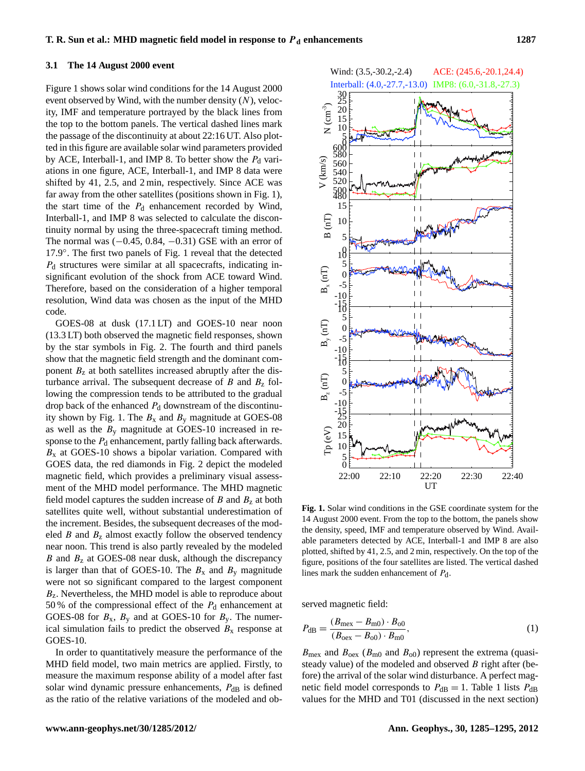#### **3.1 The 14 August 2000 event**

Figure 1 shows solar wind conditions for the 14 August 2000 event observed by Wind, with the number density  $(N)$ , velocity, IMF and temperature portrayed by the black lines from the top to the bottom panels. The vertical dashed lines mark the passage of the discontinuity at about 22:16 UT. Also plotted in this figure are available solar wind parameters provided by ACE, Interball-1, and IMP 8. To better show the  $P_d$  variations in one figure, ACE, Interball-1, and IMP 8 data were shifted by 41, 2.5, and 2 min, respectively. Since ACE was far away from the other satellites (positions shown in Fig. 1), the start time of the  $P_d$  enhancement recorded by Wind, Interball-1, and IMP 8 was selected to calculate the discontinuity normal by using the three-spacecraft timing method. The normal was  $(-0.45, 0.84, -0.31)$  GSE with an error of 17.9◦ . The first two panels of Fig. 1 reveal that the detected  $P_d$  structures were similar at all spacecrafts, indicating insignificant evolution of the shock from ACE toward Wind. Therefore, based on the consideration of a higher temporal resolution, Wind data was chosen as the input of the MHD code.

GOES-08 at dusk (17.1 LT) and GOES-10 near noon (13.3 LT) both observed the magnetic field responses, shown by the star symbols in Fig. 2. The fourth and third panels show that the magnetic field strength and the dominant component  $B<sub>z</sub>$  at both satellites increased abruptly after the disturbance arrival. The subsequent decrease of  $B$  and  $B<sub>z</sub>$  following the compression tends to be attributed to the gradual drop back of the enhanced  $P_d$  downstream of the discontinuity shown by Fig. 1. The  $B_x$  and  $B_y$  magnitude at GOES-08 as well as the  $B_y$  magnitude at GOES-10 increased in response to the  $P_d$  enhancement, partly falling back afterwards.  $B<sub>x</sub>$  at GOES-10 shows a bipolar variation. Compared with GOES data, the red diamonds in Fig. 2 depict the modeled magnetic field, which provides a preliminary visual assessment of the MHD model performance. The MHD magnetic field model captures the sudden increase of  $B$  and  $B<sub>z</sub>$  at both satellites quite well, without substantial underestimation of the increment. Besides, the subsequent decreases of the modeled  $B$  and  $B<sub>z</sub>$  almost exactly follow the observed tendency near noon. This trend is also partly revealed by the modeled  $B$  and  $B<sub>z</sub>$  at GOES-08 near dusk, although the discrepancy is larger than that of GOES-10. The  $B_x$  and  $B_y$  magnitude were not so significant compared to the largest component  $B<sub>z</sub>$ . Nevertheless, the MHD model is able to reproduce about 50 % of the compressional effect of the  $P_d$  enhancement at GOES-08 for  $B_x$ ,  $B_y$  and at GOES-10 for  $B_y$ . The numerical simulation fails to predict the observed  $B_x$  response at GOES-10.

In order to quantitatively measure the performance of the MHD field model, two main metrics are applied. Firstly, to measure the maximum response ability of a model after fast solar wind dynamic pressure enhancements,  $P_{dB}$  is defined as the ratio of the relative variations of the modeled and ob-



**Fig. 1.** Solar wind conditions in the GSE coordinate system for the 14 August 2000 event. From the top to the bottom, the panels show the density, speed, IMF and temperature observed by Wind. Available parameters detected by ACE, Interball-1 and IMP 8 are also plotted, shifted by 41, 2.5, and 2 min, respectively. On the top of the figure, positions of the four satellites are listed. The vertical dashed lines mark the sudden enhancement of  $P_d$ .

served magnetic field:

$$
P_{\rm dB} = \frac{(B_{\rm max} - B_{\rm m0}) \cdot B_{\rm o0}}{(B_{\rm oex} - B_{\rm o0}) \cdot B_{\rm m0}},\tag{1}
$$

 $B_{\text{max}}$  and  $B_{\text{oex}}$  ( $B_{\text{m0}}$  and  $B_{\text{o0}}$ ) represent the extrema (quasisteady value) of the modeled and observed  $B$  right after (before) the arrival of the solar wind disturbance. A perfect magnetic field model corresponds to  $P_{dB} = 1$ . Table 1 lists  $P_{dB}$ values for the MHD and T01 (discussed in the next section)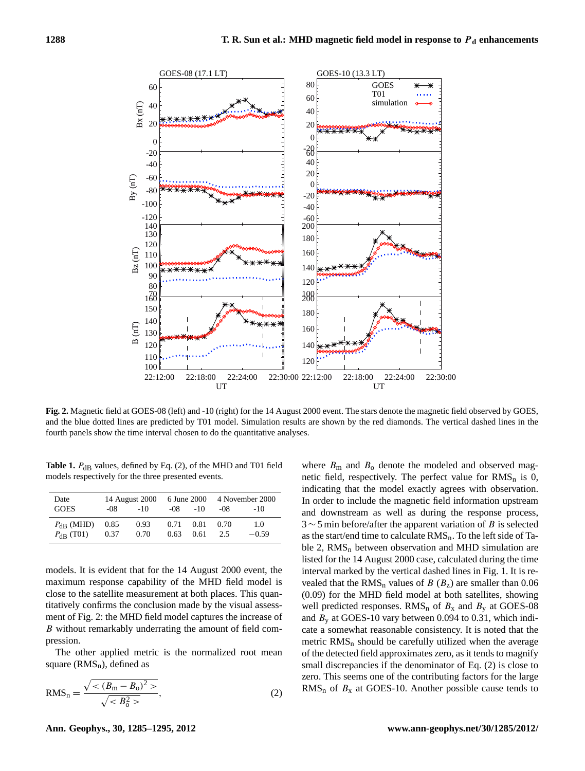

**Fig. 2.** Magnetic field at GOES-08 (left) and -10 (right) for the 14 August 2000 event. The stars denote the magnetic field observed by GOES, and the blue dotted lines are predicted by T01 model. Simulation results are shown by the red diamonds. The vertical dashed lines in the fourth panels show the time interval chosen to do the quantitative analyses.

**Table 1.**  $P_{dB}$  values, defined by Eq. (2), of the MHD and T01 field models respectively for the three presented events.

| Date<br><b>GOES</b> | 14 August 2000<br>-08<br>$-10^{-}$ |      | -08  | $-10$ | 6 June 2000 4 November 2000<br>-08<br>$-10$ |         |  |
|---------------------|------------------------------------|------|------|-------|---------------------------------------------|---------|--|
| $P_{\rm dR}$ (MHD)  | 0.85                               | 0.93 | 0.71 | 0.81  | 0.70                                        | 1.0     |  |
| $P_{\rm dB}$ (T01)  | 0.37                               | 0.70 | 0.63 | 0.61  | 2.5                                         | $-0.59$ |  |

models. It is evident that for the 14 August 2000 event, the maximum response capability of the MHD field model is close to the satellite measurement at both places. This quantitatively confirms the conclusion made by the visual assessment of Fig. 2: the MHD field model captures the increase of B without remarkably underrating the amount of field compression.

The other applied metric is the normalized root mean square  $(RMS_n)$ , defined as

$$
RMS_n = \frac{\sqrt{<(B_m - B_0)^2 >}}{\sqrt{}},
$$
\n(2)

where  $B<sub>m</sub>$  and  $B<sub>o</sub>$  denote the modeled and observed magnetic field, respectively. The perfect value for  $RMS_n$  is 0, indicating that the model exactly agrees with observation. In order to include the magnetic field information upstream and downstream as well as during the response process,  $3 \sim 5$  min before/after the apparent variation of B is selected as the start/end time to calculate  $RMS_n$ . To the left side of Table 2,  $RMS_n$  between observation and MHD simulation are listed for the 14 August 2000 case, calculated during the time interval marked by the vertical dashed lines in Fig. 1. It is revealed that the RMS<sub>n</sub> values of B ( $B<sub>z</sub>$ ) are smaller than 0.06 (0.09) for the MHD field model at both satellites, showing well predicted responses.  $RMS_n$  of  $B_x$  and  $B_y$  at GOES-08 and  $B_y$  at GOES-10 vary between 0.094 to 0.31, which indicate a somewhat reasonable consistency. It is noted that the metric  $RMS_n$  should be carefully utilized when the average of the detected field approximates zero, as it tends to magnify small discrepancies if the denominator of Eq. (2) is close to zero. This seems one of the contributing factors for the large  $RMS_n$  of  $B_x$  at GOES-10. Another possible cause tends to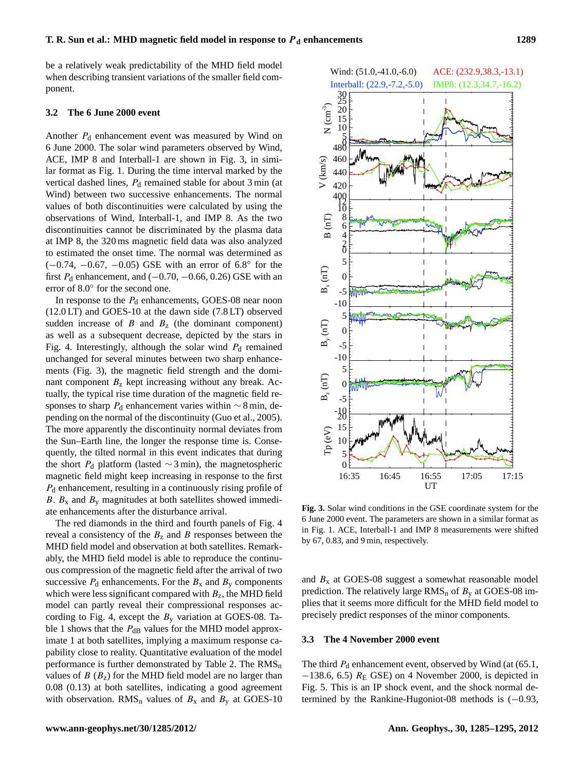be a relatively weak predictability of the MHD field model when describing transient variations of the smaller field component.

#### **3.2 The 6 June 2000 event**

Another  $P_d$  enhancement event was measured by Wind on 6 June 2000. The solar wind parameters observed by Wind, ACE, IMP 8 and Interball-1 are shown in Fig. 3, in similar format as Fig. 1. During the time interval marked by the vertical dashed lines,  $P_d$  remained stable for about 3 min (at Wind) between two successive enhancements. The normal values of both discontinuities were calculated by using the observations of Wind, Interball-1, and IMP 8. As the two discontinuities cannot be discriminated by the plasma data at IMP 8, the 320 ms magnetic field data was also analyzed to estimated the onset time. The normal was determined as (−0.74, −0.67, −0.05) GSE with an error of 6.8◦ for the first  $P_d$  enhancement, and ( $-0.70$ ,  $-0.66$ , 0.26) GSE with an error of 8.0◦ for the second one.

In response to the  $P_d$  enhancements, GOES-08 near noon (12.0 LT) and GOES-10 at the dawn side (7.8 LT) observed sudden increase of  $B$  and  $B<sub>z</sub>$  (the dominant component) as well as a subsequent decrease, depicted by the stars in Fig. 4. Interestingly, although the solar wind  $P_d$  remained unchanged for several minutes between two sharp enhancements (Fig. 3), the magnetic field strength and the dominant component  $B<sub>z</sub>$  kept increasing without any break. Actually, the typical rise time duration of the magnetic field responses to sharp  $P_d$  enhancement varies within  $\sim$  8 min, depending on the normal of the discontinuity [\(Guo et al.,](#page-9-12) [2005\)](#page-9-12). The more apparently the discontinuity normal deviates from the Sun–Earth line, the longer the response time is. Consequently, the tilted normal in this event indicates that during the short  $P_d$  platform (lasted ∼3 min), the magnetospheric magnetic field might keep increasing in response to the first  $P_d$  enhancement, resulting in a continuously rising profile of B.  $B_x$  and  $B_y$  magnitudes at both satellites showed immediate enhancements after the disturbance arrival.

The red diamonds in the third and fourth panels of Fig. 4 reveal a consistency of the  $B_z$  and B responses between the MHD field model and observation at both satellites. Remarkably, the MHD field model is able to reproduce the continuous compression of the magnetic field after the arrival of two successive  $P_d$  enhancements. For the  $B_x$  and  $B_y$  components which were less significant compared with  $B_z$ , the MHD field model can partly reveal their compressional responses according to Fig. 4, except the  $B<sub>y</sub>$  variation at GOES-08. Table 1 shows that the  $P_{dB}$  values for the MHD model approximate 1 at both satellites, implying a maximum response capability close to reality. Quantitative evaluation of the model performance is further demonstrated by Table 2. The  $RMS_n$ values of  $B(B_7)$  for the MHD field model are no larger than 0.08 (0.13) at both satellites, indicating a good agreement with observation.  $RMS_n$  values of  $B_x$  and  $B_y$  at GOES-10



**Fig. 3.** Solar wind conditions in the GSE coordinate system for the 6 June 2000 event. The parameters are shown in a similar format as in Fig. 1. ACE, Interball-1 and IMP 8 measurements were shifted by 67, 0.83, and 9 min, respectively.

and  $B_x$  at GOES-08 suggest a somewhat reasonable model prediction. The relatively large  $RMS_n$  of  $B_y$  at GOES-08 implies that it seems more difficult for the MHD field model to precisely predict responses of the minor components.

#### **3.3 The 4 November 2000 event**

The third  $P_d$  enhancement event, observed by Wind (at (65.1,  $-138.6$ , 6.5)  $R_E$  GSE) on 4 November 2000, is depicted in Fig. 5. This is an IP shock event, and the shock normal determined by the Rankine-Hugoniot-08 methods is (−0.93,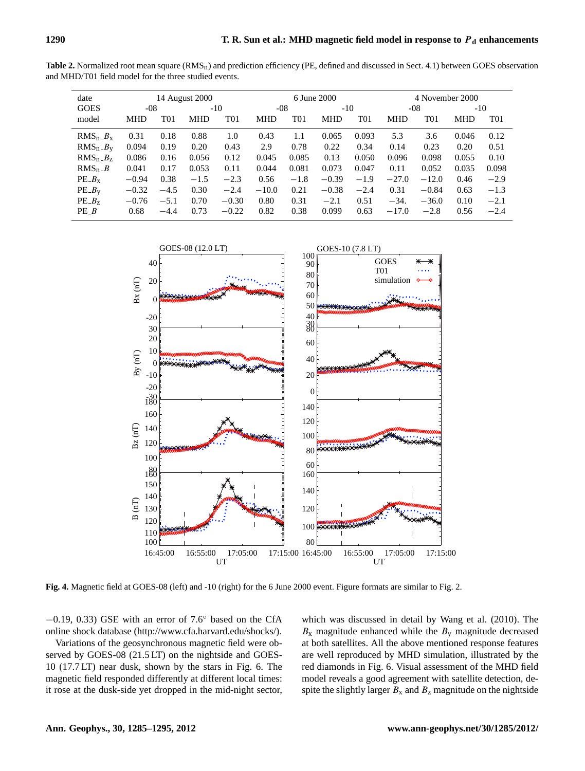Table 2. Normalized root mean square (RMS<sub>n</sub>) and prediction efficiency (PE, defined and discussed in Sect. 4.1) between GOES observation and MHD/T01 field model for the three studied events.

| 14 August 2000     |        |            | 6 June 2000     |            |                |            | 4 November 2000 |            |         |            |                 |  |
|--------------------|--------|------------|-----------------|------------|----------------|------------|-----------------|------------|---------|------------|-----------------|--|
| <b>GOES</b><br>-08 |        |            | $-10$           |            | -08            |            | $-10$           |            | -08     |            | $-10$           |  |
| <b>MHD</b>         | T01    | <b>MHD</b> | T <sub>01</sub> | <b>MHD</b> | $\mathrm{T}01$ | <b>MHD</b> | T01             | <b>MHD</b> | T01     | <b>MHD</b> | T <sub>01</sub> |  |
| 0.31               | 0.18   | 0.88       | 1.0             | 0.43       | 1.1            | 0.065      | 0.093           | 5.3        | 3.6     | 0.046      | 0.12            |  |
| 0.094              | 0.19   | 0.20       | 0.43            | 2.9        | 0.78           | 0.22       | 0.34            | 0.14       | 0.23    | 0.20       | 0.51            |  |
| 0.086              | 0.16   | 0.056      | 0.12            | 0.045      | 0.085          | 0.13       | 0.050           | 0.096      | 0.098   | 0.055      | 0.10            |  |
| 0.041              | 0.17   | 0.053      | 0.11            | 0.044      | 0.081          | 0.073      | 0.047           | 0.11       | 0.052   | 0.035      | 0.098           |  |
| $-0.94$            | 0.38   | $-1.5$     | $-2.3$          | 0.56       | $-1.8$         | $-0.39$    | $-1.9$          | $-27.0$    | $-12.0$ | 0.46       | $-2.9$          |  |
| $-0.32$            | $-4.5$ | 0.30       | $-2.4$          | $-10.0$    | 0.21           | $-0.38$    | $-2.4$          | 0.31       | $-0.84$ | 0.63       | $-1.3$          |  |
| $-0.76$            | $-5.1$ | 0.70       | $-0.30$         | 0.80       | 0.31           | $-2.1$     | 0.51            | $-34.$     | $-36.0$ | 0.10       | $-2.1$          |  |
| 0.68               | $-4.4$ | 0.73       | $-0.22$         | 0.82       | 0.38           | 0.099      | 0.63            | $-17.0$    | $-2.8$  | 0.56       | $-2.4$          |  |
|                    |        |            |                 |            |                |            |                 |            |         |            |                 |  |



**Fig. 4.** Magnetic field at GOES-08 (left) and -10 (right) for the 6 June 2000 event. Figure formats are similar to Fig. 2.

 $-0.19$ , 0.33) GSE with an error of 7.6 $\degree$  based on the CfA online shock database [\(http://www.cfa.harvard.edu/shocks/\)](http://www.cfa.harvard.edu/shocks/).

Variations of the geosynchronous magnetic field were observed by GOES-08 (21.5 LT) on the nightside and GOES-10 (17.7 LT) near dusk, shown by the stars in Fig. 6. The magnetic field responded differently at different local times: it rose at the dusk-side yet dropped in the mid-night sector, which was discussed in detail by [Wang et al.](#page-10-8) [\(2010\)](#page-10-8). The  $B_x$  magnitude enhanced while the  $B_y$  magnitude decreased at both satellites. All the above mentioned response features are well reproduced by MHD simulation, illustrated by the red diamonds in Fig. 6. Visual assessment of the MHD field model reveals a good agreement with satellite detection, despite the slightly larger  $B_x$  and  $B_z$  magnitude on the nightside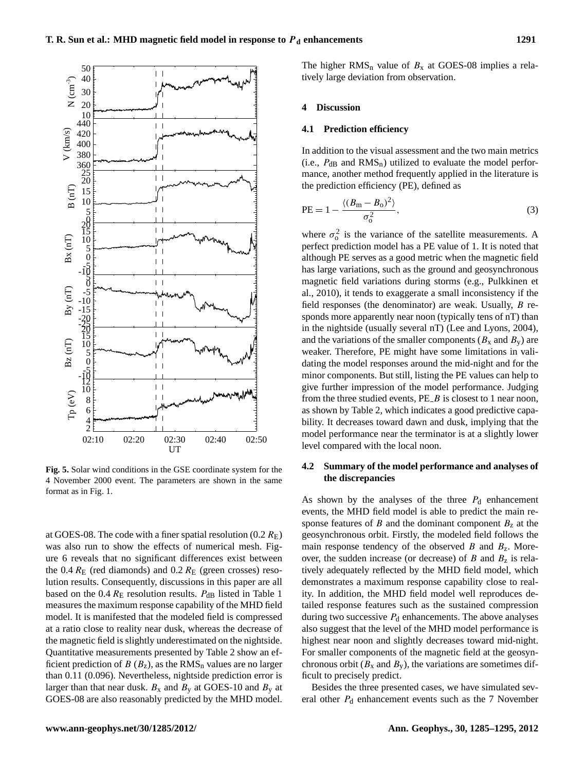

**Fig. 5.** Solar wind conditions in the GSE coordinate system for the 4 November 2000 event. The parameters are shown in the same format as in Fig. 1.

at GOES-08. The code with a finer spatial resolution  $(0.2 R_{\rm E})$ was also run to show the effects of numerical mesh. Figure 6 reveals that no significant differences exist between the 0.4  $R_E$  (red diamonds) and 0.2  $R_E$  (green crosses) resolution results. Consequently, discussions in this paper are all based on the 0.4  $R_E$  resolution results.  $P_{dB}$  listed in Table 1 measures the maximum response capability of the MHD field model. It is manifested that the modeled field is compressed at a ratio close to reality near dusk, whereas the decrease of the magnetic field is slightly underestimated on the nightside. Quantitative measurements presented by Table 2 show an efficient prediction of  $B(B_z)$ , as the RMS<sub>n</sub> values are no larger than 0.11 (0.096). Nevertheless, nightside prediction error is larger than that near dusk.  $B_x$  and  $B_y$  at GOES-10 and  $B_y$  at GOES-08 are also reasonably predicted by the MHD model. The higher  $RMS_n$  value of  $B_x$  at GOES-08 implies a relatively large deviation from observation.

#### **4 Discussion**

#### **4.1 Prediction efficiency**

In addition to the visual assessment and the two main metrics (i.e.,  $P_{dB}$  and  $RMS_n$ ) utilized to evaluate the model performance, another method frequently applied in the literature is the prediction efficiency (PE), defined as

PE = 
$$
1 - \frac{\langle (B_m - B_o)^2 \rangle}{\sigma_o^2}
$$
, (3)

where  $\sigma_0^2$  is the variance of the satellite measurements. A perfect prediction model has a PE value of 1. It is noted that although PE serves as a good metric when the magnetic field has large variations, such as the ground and geosynchronous magnetic field variations during storms (e.g., [Pulkkinen et](#page-9-2) [al.,](#page-9-2) [2010\)](#page-9-2), it tends to exaggerate a small inconsistency if the field responses (the denominator) are weak. Usually, B responds more apparently near noon (typically tens of nT) than in the nightside (usually several nT) [\(Lee and Lyons,](#page-9-5) [2004\)](#page-9-5), and the variations of the smaller components ( $B_x$  and  $B_y$ ) are weaker. Therefore, PE might have some limitations in validating the model responses around the mid-night and for the minor components. But still, listing the PE values can help to give further impression of the model performance. Judging from the three studied events,  $PE$  is closest to 1 near noon, as shown by Table 2, which indicates a good predictive capability. It decreases toward dawn and dusk, implying that the model performance near the terminator is at a slightly lower level compared with the local noon.

## **4.2 Summary of the model performance and analyses of the discrepancies**

As shown by the analyses of the three  $P_d$  enhancement events, the MHD field model is able to predict the main response features of B and the dominant component  $B<sub>z</sub>$  at the geosynchronous orbit. Firstly, the modeled field follows the main response tendency of the observed  $B$  and  $B_z$ . Moreover, the sudden increase (or decrease) of  $B$  and  $B<sub>z</sub>$  is relatively adequately reflected by the MHD field model, which demonstrates a maximum response capability close to reality. In addition, the MHD field model well reproduces detailed response features such as the sustained compression during two successive  $P_d$  enhancements. The above analyses also suggest that the level of the MHD model performance is highest near noon and slightly decreases toward mid-night. For smaller components of the magnetic field at the geosynchronous orbit ( $B_x$  and  $B_y$ ), the variations are sometimes difficult to precisely predict.

Besides the three presented cases, we have simulated several other  $P_d$  enhancement events such as the 7 November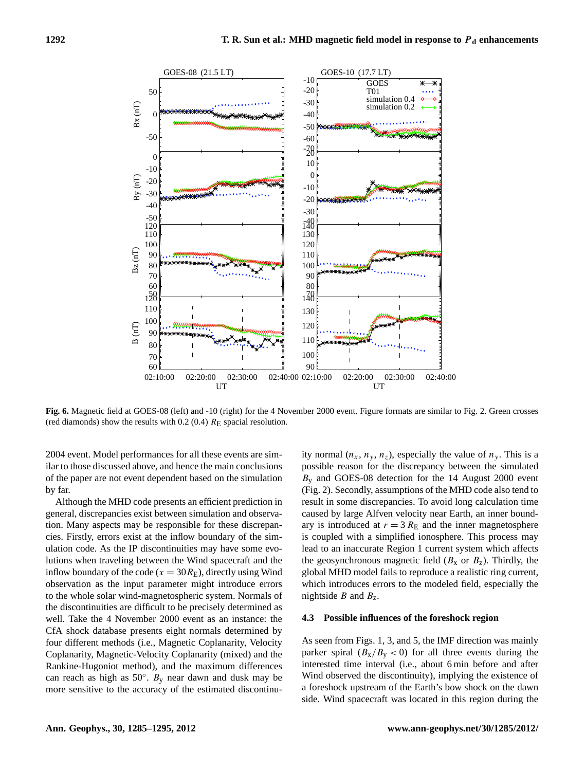

**Fig. 6.** Magnetic field at GOES-08 (left) and -10 (right) for the 4 November 2000 event. Figure formats are similar to Fig. 2. Green crosses (red diamonds) show the results with 0.2 (0.4)  $R_E$  spacial resolution.

2004 event. Model performances for all these events are similar to those discussed above, and hence the main conclusions of the paper are not event dependent based on the simulation by far.

Although the MHD code presents an efficient prediction in general, discrepancies exist between simulation and observation. Many aspects may be responsible for these discrepancies. Firstly, errors exist at the inflow boundary of the simulation code. As the IP discontinuities may have some evolutions when traveling between the Wind spacecraft and the inflow boundary of the code ( $x = 30R_E$ ), directly using Wind observation as the input parameter might introduce errors to the whole solar wind-magnetospheric system. Normals of the discontinuities are difficult to be precisely determined as well. Take the 4 November 2000 event as an instance: the CfA shock database presents eight normals determined by four different methods (i.e., Magnetic Coplanarity, Velocity Coplanarity, Magnetic-Velocity Coplanarity (mixed) and the Rankine-Hugoniot method), and the maximum differences can reach as high as  $50^\circ$ . B<sub>y</sub> near dawn and dusk may be more sensitive to the accuracy of the estimated discontinuity normal  $(n_x, n_y, n_z)$ , especially the value of  $n_y$ . This is a possible reason for the discrepancy between the simulated  $B<sub>v</sub>$  and GOES-08 detection for the 14 August 2000 event (Fig. 2). Secondly, assumptions of the MHD code also tend to result in some discrepancies. To avoid long calculation time caused by large Alfven velocity near Earth, an inner boundary is introduced at  $r = 3 R<sub>E</sub>$  and the inner magnetosphere is coupled with a simplified ionosphere. This process may lead to an inaccurate Region 1 current system which affects the geosynchronous magnetic field  $(B_x \text{ or } B_z)$ . Thirdly, the global MHD model fails to reproduce a realistic ring current, which introduces errors to the modeled field, especially the nightside  $B$  and  $B_z$ .

## **4.3 Possible influences of the foreshock region**

As seen from Figs. 1, 3, and 5, the IMF direction was mainly parker spiral  $(B_x/B_y < 0)$  for all three events during the interested time interval (i.e., about 6 min before and after Wind observed the discontinuity), implying the existence of a foreshock upstream of the Earth's bow shock on the dawn side. Wind spacecraft was located in this region during the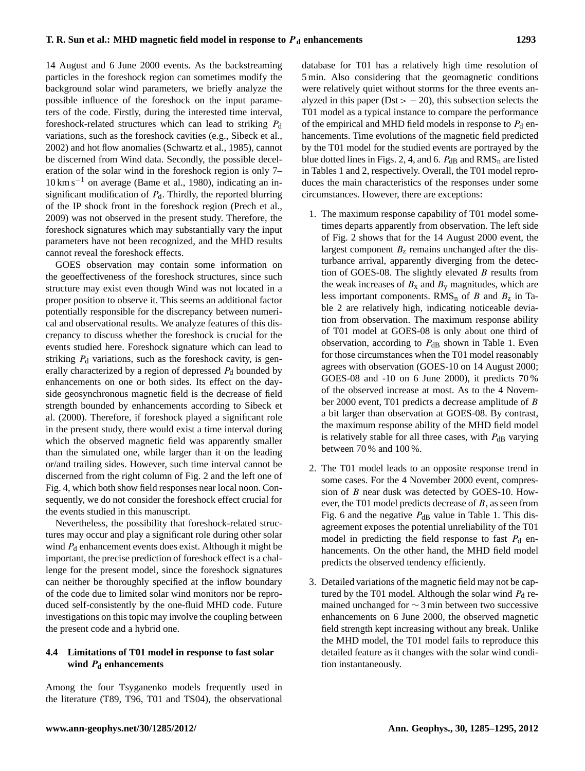14 August and 6 June 2000 events. As the backstreaming particles in the foreshock region can sometimes modify the background solar wind parameters, we briefly analyze the possible influence of the foreshock on the input parameters of the code. Firstly, during the interested time interval, foreshock-related structures which can lead to striking  $P_d$ variations, such as the foreshock cavities (e.g., [Sibeck et al.,](#page-10-9) [2002\)](#page-10-9) and hot flow anomalies [\(Schwartz et al.,](#page-9-13) [1985\)](#page-9-13), cannot be discerned from Wind data. Secondly, the possible deceleration of the solar wind in the foreshock region is only 7– 10 km s−<sup>1</sup> on average [\(Bame et al.,](#page-9-14) [1980\)](#page-9-14), indicating an insignificant modification of  $P_d$ . Thirdly, the reported blurring of the IP shock front in the foreshock region [\(Prech et al.,](#page-9-15) [2009\)](#page-9-15) was not observed in the present study. Therefore, the foreshock signatures which may substantially vary the input parameters have not been recognized, and the MHD results cannot reveal the foreshock effects.

GOES observation may contain some information on the geoeffectiveness of the foreshock structures, since such structure may exist even though Wind was not located in a proper position to observe it. This seems an additional factor potentially responsible for the discrepancy between numerical and observational results. We analyze features of this discrepancy to discuss whether the foreshock is crucial for the events studied here. Foreshock signature which can lead to striking  $P_d$  variations, such as the foreshock cavity, is generally characterized by a region of depressed  $P_d$  bounded by enhancements on one or both sides. Its effect on the dayside geosynchronous magnetic field is the decrease of field strength bounded by enhancements according to [Sibeck et](#page-10-10) [al.](#page-10-10) [\(2000\)](#page-10-10). Therefore, if foreshock played a significant role in the present study, there would exist a time interval during which the observed magnetic field was apparently smaller than the simulated one, while larger than it on the leading or/and trailing sides. However, such time interval cannot be discerned from the right column of Fig. 2 and the left one of Fig. 4, which both show field responses near local noon. Consequently, we do not consider the foreshock effect crucial for the events studied in this manuscript.

Nevertheless, the possibility that foreshock-related structures may occur and play a significant role during other solar wind  $P_d$  enhancement events does exist. Although it might be important, the precise prediction of foreshock effect is a challenge for the present model, since the foreshock signatures can neither be thoroughly specified at the inflow boundary of the code due to limited solar wind monitors nor be reproduced self-consistently by the one-fluid MHD code. Future investigations on this topic may involve the coupling between the present code and a hybrid one.

## **4.4 Limitations of T01 model in response to fast solar wind** P**<sup>d</sup> enhancements**

Among the four Tsyganenko models frequently used in the literature (T89, T96, T01 and TS04), the observational database for T01 has a relatively high time resolution of 5 min. Also considering that the geomagnetic conditions were relatively quiet without storms for the three events analyzed in this paper ( $Dist > -20$ ), this subsection selects the T01 model as a typical instance to compare the performance of the empirical and MHD field models in response to  $P_d$  enhancements. Time evolutions of the magnetic field predicted by the T01 model for the studied events are portrayed by the blue dotted lines in Figs. 2, 4, and 6.  $P_{dB}$  and  $RMS_n$  are listed in Tables 1 and 2, respectively. Overall, the T01 model reproduces the main characteristics of the responses under some circumstances. However, there are exceptions:

- 1. The maximum response capability of T01 model sometimes departs apparently from observation. The left side of Fig. 2 shows that for the 14 August 2000 event, the largest component  $B<sub>z</sub>$  remains unchanged after the disturbance arrival, apparently diverging from the detection of GOES-08. The slightly elevated  $B$  results from the weak increases of  $B_x$  and  $B_y$  magnitudes, which are less important components.  $RMS_n$  of B and  $B_z$  in Table 2 are relatively high, indicating noticeable deviation from observation. The maximum response ability of T01 model at GOES-08 is only about one third of observation, according to  $P_{dB}$  shown in Table 1. Even for those circumstances when the T01 model reasonably agrees with observation (GOES-10 on 14 August 2000; GOES-08 and -10 on 6 June 2000), it predicts 70 % of the observed increase at most. As to the 4 November 2000 event, T01 predicts a decrease amplitude of B a bit larger than observation at GOES-08. By contrast, the maximum response ability of the MHD field model is relatively stable for all three cases, with  $P_{dB}$  varying between 70 % and 100 %.
- 2. The T01 model leads to an opposite response trend in some cases. For the 4 November 2000 event, compression of B near dusk was detected by GOES-10. However, the T01 model predicts decrease of B, as seen from Fig. 6 and the negative  $P_{dB}$  value in Table 1. This disagreement exposes the potential unreliability of the T01 model in predicting the field response to fast  $P_d$  enhancements. On the other hand, the MHD field model predicts the observed tendency efficiently.
- 3. Detailed variations of the magnetic field may not be captured by the T01 model. Although the solar wind  $P_d$  remained unchanged for ∼ 3 min between two successive enhancements on 6 June 2000, the observed magnetic field strength kept increasing without any break. Unlike the MHD model, the T01 model fails to reproduce this detailed feature as it changes with the solar wind condition instantaneously.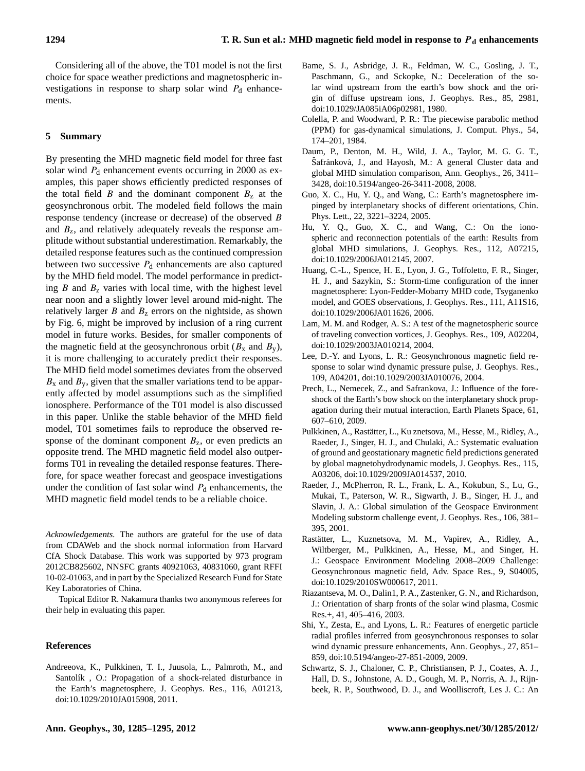Considering all of the above, the T01 model is not the first choice for space weather predictions and magnetospheric investigations in response to sharp solar wind  $P_d$  enhancements.

## **5 Summary**

By presenting the MHD magnetic field model for three fast solar wind  $P_d$  enhancement events occurring in 2000 as examples, this paper shows efficiently predicted responses of the total field B and the dominant component  $B<sub>z</sub>$  at the geosynchronous orbit. The modeled field follows the main response tendency (increase or decrease) of the observed B and  $B_{z}$ , and relatively adequately reveals the response amplitude without substantial underestimation. Remarkably, the detailed response features such as the continued compression between two successive  $P_d$  enhancements are also captured by the MHD field model. The model performance in predicting  $B$  and  $B<sub>z</sub>$  varies with local time, with the highest level near noon and a slightly lower level around mid-night. The relatively larger  $B$  and  $B<sub>z</sub>$  errors on the nightside, as shown by Fig. 6, might be improved by inclusion of a ring current model in future works. Besides, for smaller components of the magnetic field at the geosynchronous orbit  $(B_x \text{ and } B_y)$ , it is more challenging to accurately predict their responses. The MHD field model sometimes deviates from the observed  $B_x$  and  $B_y$ , given that the smaller variations tend to be apparently affected by model assumptions such as the simplified ionosphere. Performance of the T01 model is also discussed in this paper. Unlike the stable behavior of the MHD field model, T01 sometimes fails to reproduce the observed response of the dominant component  $B_z$ , or even predicts an opposite trend. The MHD magnetic field model also outperforms T01 in revealing the detailed response features. Therefore, for space weather forecast and geospace investigations under the condition of fast solar wind  $P_d$  enhancements, the MHD magnetic field model tends to be a reliable choice.

*Acknowledgements.* The authors are grateful for the use of data from CDAWeb and the shock normal information from Harvard CfA Shock Database. This work was supported by 973 program 2012CB825602, NNSFC grants 40921063, 40831060, grant RFFI 10-02-01063, and in part by the Specialized Research Fund for State Key Laboratories of China.

Topical Editor R. Nakamura thanks two anonymous referees for their help in evaluating this paper.

#### **References**

<span id="page-9-6"></span>Andreeova, K., Pulkkinen, T. I., Juusola, L., Palmroth, M., and Santolík, O.: Propagation of a shock-related disturbance in the Earth's magnetosphere, J. Geophys. Res., 116, A01213, [doi:10.1029/2010JA015908,](http://dx.doi.org/10.1029/2010JA015908) 2011.

- <span id="page-9-14"></span>Bame, S. J., Asbridge, J. R., Feldman, W. C., Gosling, J. T., Paschmann, G., and Sckopke, N.: Deceleration of the solar wind upstream from the earth's bow shock and the origin of diffuse upstream ions, J. Geophys. Res., 85, 2981, [doi:10.1029/JA085iA06p02981,](http://dx.doi.org/10.1029/JA085iA06p02981) 1980.
- <span id="page-9-11"></span>Colella, P. and Woodward, P. R.: The piecewise parabolic method (PPM) for gas-dynamical simulations, J. Comput. Phys., 54, 174–201, 1984.
- <span id="page-9-0"></span>Daum, P., Denton, M. H., Wild, J. A., Taylor, M. G. G. T., Šafránková, J., and Hayosh, M.: A general Cluster data and global MHD simulation comparison, Ann. Geophys., 26, 3411– 3428, [doi:10.5194/angeo-26-3411-2008,](http://dx.doi.org/10.5194/angeo-26-3411-2008) 2008.
- <span id="page-9-12"></span>Guo, X. C., Hu, Y. Q., and Wang, C.: Earth's magnetosphere impinged by interplanetary shocks of different orientations, Chin. Phys. Lett., 22, 3221–3224, 2005.
- <span id="page-9-10"></span>Hu, Y. Q., Guo, X. C., and Wang, C.: On the ionospheric and reconnection potentials of the earth: Results from global MHD simulations, J. Geophys. Res., 112, A07215, [doi:10.1029/2006JA012145,](http://dx.doi.org/10.1029/2006JA012145) 2007.
- <span id="page-9-1"></span>Huang, C.-L., Spence, H. E., Lyon, J. G., Toffoletto, F. R., Singer, H. J., and Sazykin, S.: Storm-time configuration of the inner magnetosphere: Lyon-Fedder-Mobarry MHD code, Tsyganenko model, and GOES observations, J. Geophys. Res., 111, A11S16, [doi:10.1029/2006JA011626,](http://dx.doi.org/10.1029/2006JA011626) 2006.
- <span id="page-9-7"></span>Lam, M. M. and Rodger, A. S.: A test of the magnetospheric source of traveling convection vortices, J. Geophys. Res., 109, A02204, [doi:10.1029/2003JA010214,](http://dx.doi.org/10.1029/2003JA010214) 2004.
- <span id="page-9-5"></span>Lee, D.-Y. and Lyons, L. R.: Geosynchronous magnetic field response to solar wind dynamic pressure pulse, J. Geophys. Res., 109, A04201, [doi:10.1029/2003JA010076,](http://dx.doi.org/10.1029/2003JA010076) 2004.
- <span id="page-9-15"></span>Prech, L., Nemecek, Z., and Safrankova, J.: Influence of the foreshock of the Earth's bow shock on the interplanetary shock propagation during their mutual interaction, Earth Planets Space, 61, 607–610, 2009.
- <span id="page-9-2"></span>Pulkkinen, A., Rastätter, L., Ku znetsova, M., Hesse, M., Ridley, A., Raeder, J., Singer, H. J., and Chulaki, A.: Systematic evaluation of ground and geostationary magnetic field predictions generated by global magnetohydrodynamic models, J. Geophys. Res., 115, A03206, [doi:10.1029/2009JA014537,](http://dx.doi.org/10.1029/2009JA014537) 2010.
- <span id="page-9-4"></span>Raeder, J., McPherron, R. L., Frank, L. A., Kokubun, S., Lu, G., Mukai, T., Paterson, W. R., Sigwarth, J. B., Singer, H. J., and Slavin, J. A.: Global simulation of the Geospace Environment Modeling substorm challenge event, J. Geophys. Res., 106, 381– 395, 2001.
- <span id="page-9-3"></span>Rastätter, L., Kuznetsova, M. M., Vapirev, A., Ridley, A., Wiltberger, M., Pulkkinen, A., Hesse, M., and Singer, H. J.: Geospace Environment Modeling 2008–2009 Challenge: Geosynchronous magnetic field, Adv. Space Res., 9, S04005, [doi:10.1029/2010SW000617,](http://dx.doi.org/10.1029/2010SW000617) 2011.
- <span id="page-9-9"></span>Riazantseva, M. O., Dalin1, P. A., Zastenker, G. N., and Richardson, J.: Orientation of sharp fronts of the solar wind plasma, Cosmic Res.+, 41, 405–416, 2003.
- <span id="page-9-8"></span>Shi, Y., Zesta, E., and Lyons, L. R.: Features of energetic particle radial profiles inferred from geosynchronous responses to solar wind dynamic pressure enhancements, Ann. Geophys., 27, 851– 859, [doi:10.5194/angeo-27-851-2009,](http://dx.doi.org/10.5194/angeo-27-851-2009) 2009.
- <span id="page-9-13"></span>Schwartz, S. J., Chaloner, C. P., Christiansen, P. J., Coates, A. J., Hall, D. S., Johnstone, A. D., Gough, M. P., Norris, A. J., Rijnbeek, R. P., Southwood, D. J., and Woolliscroft, Les J. C.: An